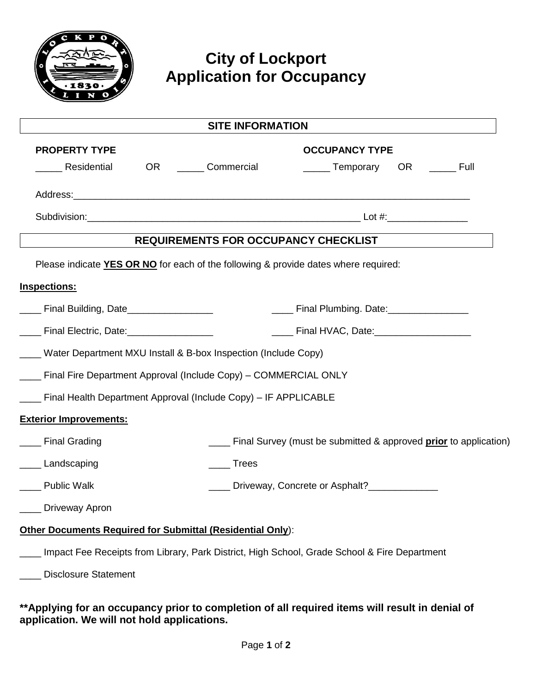

## **City of Lockport Application for Occupancy**

| <b>SITE INFORMATION</b>                                                             |               |                                                                                              |  |
|-------------------------------------------------------------------------------------|---------------|----------------------------------------------------------------------------------------------|--|
| <b>PROPERTY TYPE</b>                                                                |               | <b>OCCUPANCY TYPE</b>                                                                        |  |
| Residential                                                                         | OR Commercial | <b>Temporary</b><br>OR ________ Full                                                         |  |
|                                                                                     |               |                                                                                              |  |
|                                                                                     |               |                                                                                              |  |
|                                                                                     |               | REQUIREMENTS FOR OCCUPANCY CHECKLIST                                                         |  |
| Please indicate YES OR NO for each of the following & provide dates where required: |               |                                                                                              |  |
| Inspections:                                                                        |               |                                                                                              |  |
| ____ Final Building, Date_________________                                          |               | _____ Final Plumbing. Date:__________________                                                |  |
| ___ Final Electric, Date: __________________                                        |               | _____ Final HVAC, Date:____________________                                                  |  |
| __ Water Department MXU Install & B-box Inspection (Include Copy)                   |               |                                                                                              |  |
| - Final Fire Department Approval (Include Copy) - COMMERCIAL ONLY                   |               |                                                                                              |  |
| - Final Health Department Approval (Include Copy) - IF APPLICABLE                   |               |                                                                                              |  |
| <b>Exterior Improvements:</b>                                                       |               |                                                                                              |  |
| <b>Final Grading</b>                                                                |               | Final Survey (must be submitted & approved prior to application)                             |  |
| Landscaping                                                                         | <b>Trees</b>  |                                                                                              |  |
| <b>Public Walk</b>                                                                  |               | Driveway, Concrete or Asphalt?______________                                                 |  |
| Driveway Apron                                                                      |               |                                                                                              |  |
| Other Documents Required for Submittal (Residential Only):                          |               |                                                                                              |  |
|                                                                                     |               | Impact Fee Receipts from Library, Park District, High School, Grade School & Fire Department |  |
| <b>Disclosure Statement</b>                                                         |               |                                                                                              |  |
|                                                                                     |               |                                                                                              |  |

**\*\*Applying for an occupancy prior to completion of all required items will result in denial of application. We will not hold applications.**